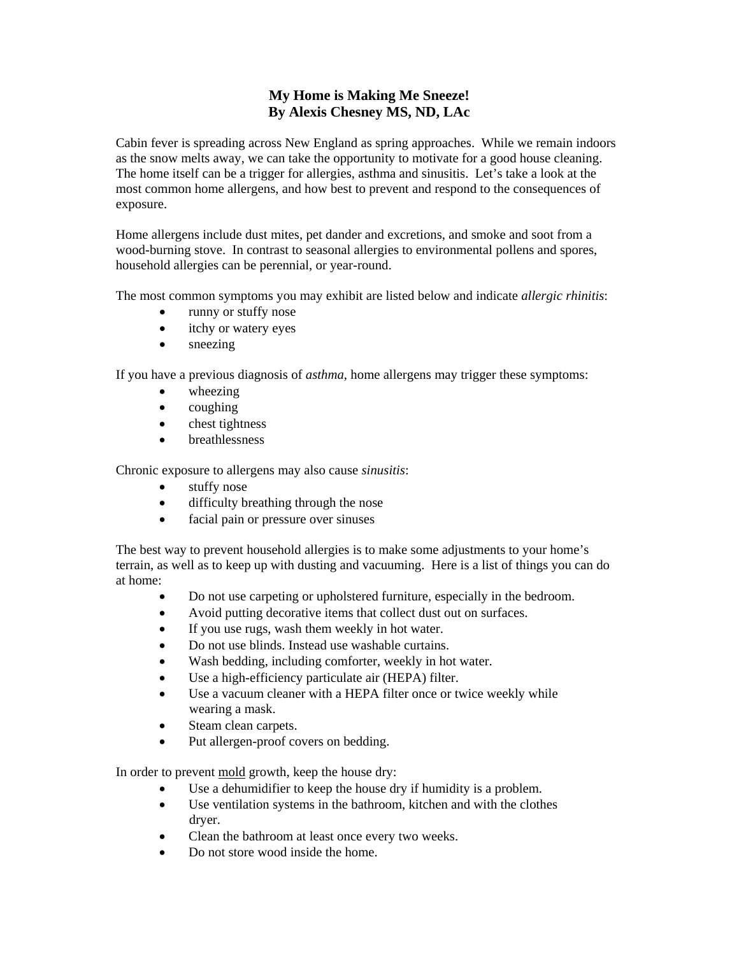## **My Home is Making Me Sneeze! By Alexis Chesney MS, ND, LAc**

Cabin fever is spreading across New England as spring approaches. While we remain indoors as the snow melts away, we can take the opportunity to motivate for a good house cleaning. The home itself can be a trigger for allergies, asthma and sinusitis. Let's take a look at the most common home allergens, and how best to prevent and respond to the consequences of exposure.

Home allergens include dust mites, pet dander and excretions, and smoke and soot from a wood-burning stove. In contrast to seasonal allergies to environmental pollens and spores, household allergies can be perennial, or year-round.

The most common symptoms you may exhibit are listed below and indicate *allergic rhinitis*:

- runny or stuffy nose
- itchy or watery eyes
- sneezing

If you have a previous diagnosis of *asthma*, home allergens may trigger these symptoms:

- wheezing
- coughing
- chest tightness
- breathlessness

Chronic exposure to allergens may also cause *sinusitis*:

- stuffy nose
- difficulty breathing through the nose
- facial pain or pressure over sinuses

The best way to prevent household allergies is to make some adjustments to your home's terrain, as well as to keep up with dusting and vacuuming. Here is a list of things you can do at home:

- Do not use carpeting or upholstered furniture, especially in the bedroom.
- Avoid putting decorative items that collect dust out on surfaces.
- If you use rugs, wash them weekly in hot water.
- Do not use blinds. Instead use washable curtains.
- Wash bedding, including comforter, weekly in hot water.
- Use a high-efficiency particulate air (HEPA) filter.
- Use a vacuum cleaner with a HEPA filter once or twice weekly while wearing a mask.
- Steam clean carpets.
- Put allergen-proof covers on bedding.

In order to prevent mold growth, keep the house dry:

- Use a dehumidifier to keep the house dry if humidity is a problem.
- Use ventilation systems in the bathroom, kitchen and with the clothes dryer.
- Clean the bathroom at least once every two weeks.
- Do not store wood inside the home.